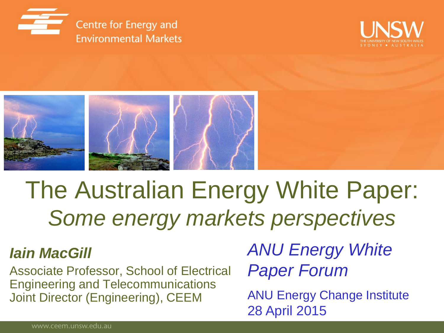





# The Australian Energy White Paper: *Some energy markets perspectives*

#### *Iain MacGill*

Associate Professor, School of Electrical Engineering and Telecommunications Joint Director (Engineering), CEEM

*ANU Energy White Paper Forum*

ANU Energy Change Institute 28 April 2015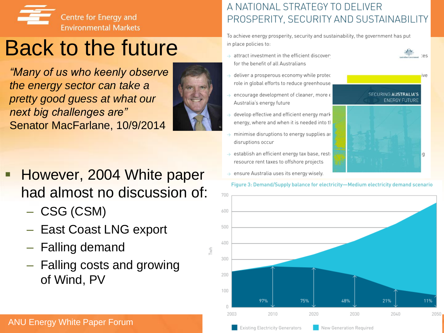

## Back to the future

*"Many of us who keenly observe the energy sector can take a pretty good guess at what our next big challenges are"*  Senator MacFarlane, 10/9/2014



- However, 2004 White paper had almost no discussion of:
	-
	- CSG (CSM) East Coast LNG export
	- Falling demand
	- Falling costs and growing of Wind, PV

#### A NATIONAL STRATEGY TO DELIVER PROSPERITY, SECURITY AND SUSTAINABILITY

To achieve energy prosperity, security and sustainability, the government has put in place policies to:

- $\rightarrow$  attract investment in the efficient discover for the benefit of all Australians
- $\rightarrow$  deliver a prosperous economy while protect role in global efforts to reduce greenhouse
- $\rightarrow$  encourage development of cleaner, more  $\epsilon$ Australia's energy future
- $\rightarrow$  develop effective and efficient energy mark energy, where and when it is needed into tl
- $\rightarrow$  minimise disruptions to energy supplies an disruptions occur
- $\rightarrow$  establish an efficient energy tax base, rest resource rent taxes to offshore projects
- $\rightarrow$  ensure Australia uses its energy wisely.

Figure 3: Demand/Supply balance for electricity-Medium electricity demand scenario

**SECURING AUSTRALIA'S ENERGY FUTURE** 

Iq.



ANU Energy White Paper Forum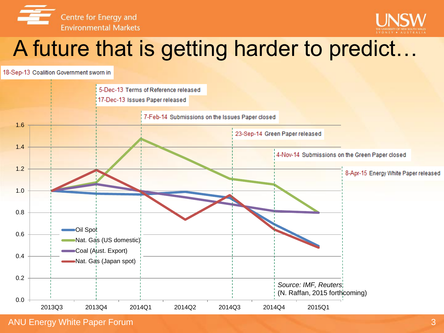



## A future that is getting harder to predict…

18-Sep-13 Coalition Government sworn in

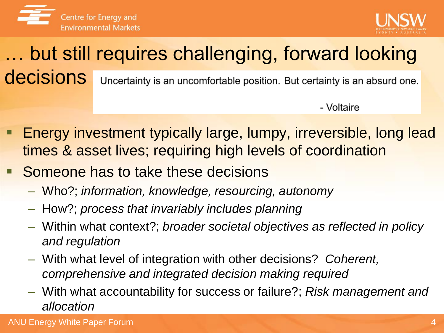



#### … but still requires challenging, forward looking decisions Uncertainty is an uncomfortable position. But certainty is an absurd one.

- Voltaire

- Energy investment typically large, lumpy, irreversible, long lead times & asset lives; requiring high levels of coordination
- Someone has to take these decisions
	- Who?; *information, knowledge, resourcing, autonomy*
	- How?; *process that invariably includes planning*
	- Within what context?; *broader societal objectives as reflected in policy and regulation*
	- With what level of integration with other decisions? *Coherent, comprehensive and integrated decision making required*
	- With what accountability for success or failure?; *Risk management and allocation*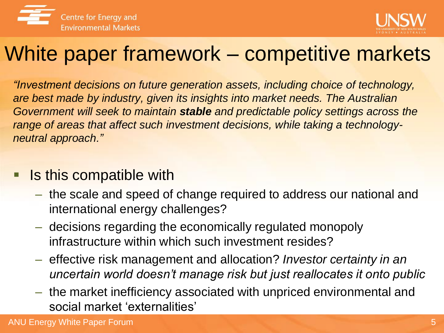



### White paper framework – competitive markets

*"Investment decisions on future generation assets, including choice of technology, are best made by industry, given its insights into market needs. The Australian Government will seek to maintain stable and predictable policy settings across the range of areas that affect such investment decisions, while taking a technologyneutral approach."*

- **If its in the Septem Is this compatible with** 
	- the scale and speed of change required to address our national and international energy challenges?
	- decisions regarding the economically regulated monopoly infrastructure within which such investment resides?
	- effective risk management and allocation? *Investor certainty in an uncertain world doesn't manage risk but just reallocates it onto public*
	- the market inefficiency associated with unpriced environmental and social market 'externalities'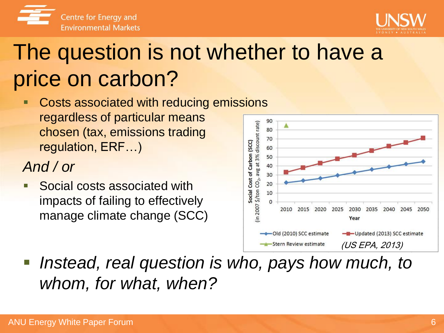

## The question is not whether to have a price on carbon?

 Costs associated with reducing emissions regardless of particular means chosen (tax, emissions trading regulation, ERF…)

### *And / or*

 Social costs associated with impacts of failing to effectively manage climate change (SCC)

Centre for Energy and **Environmental Markets** 



*Instead, real question is who, pays how much, to whom, for what, when?*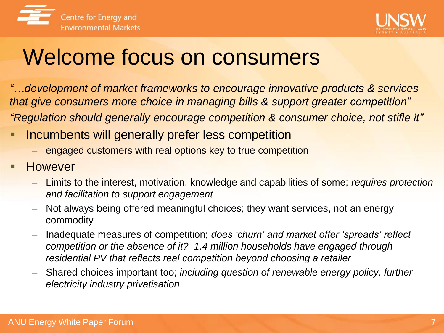



### Welcome focus on consumers

*"…development of market frameworks to encourage innovative products & services that give consumers more choice in managing bills & support greater competition" "Regulation should generally encourage competition & consumer choice, not stifle it"*

- Incumbents will generally prefer less competition
	- engaged customers with real options key to true competition
- However
	- Limits to the interest, motivation, knowledge and capabilities of some; *requires protection and facilitation to support engagement*
	- Not always being offered meaningful choices; they want services, not an energy commodity
	- Inadequate measures of competition; *does 'churn' and market offer 'spreads' reflect competition or the absence of it? 1.4 million households have engaged through residential PV that reflects real competition beyond choosing a retailer*
	- Shared choices important too; *including question of renewable energy policy, further electricity industry privatisation*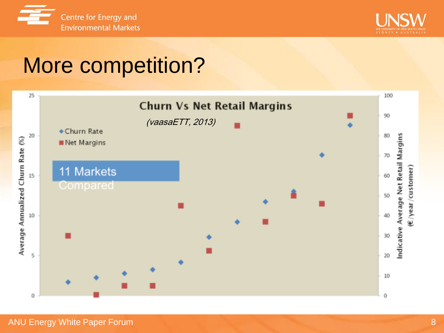



## More competition?

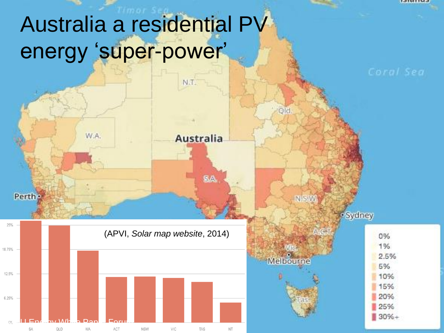## Australia a residential PV energy 'super-power'

 $N.T$ 

**Australia** 

SA.

Qld

**NISW** 

Melbourne

· Sydney

0% 1%

2.5%

5%

10% 15% 20%

25%  $30% +$ 

12101142



W.A.

Perth -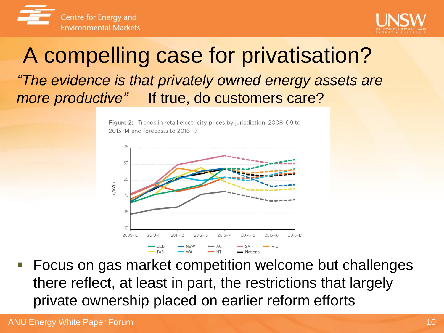



### A compelling case for privatisation? *"The evidence is that privately owned energy assets are more productive"* If true, do customers care?

Figure 2: Trends in retail electricity prices by jurisdiction, 2008-09 to 2013-14 and forecasts to 2016-17



 Focus on gas market competition welcome but challenges there reflect, at least in part, the restrictions that largely private ownership placed on earlier reform efforts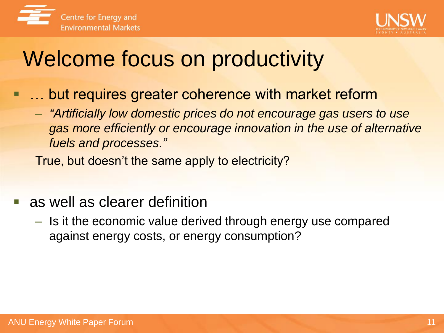



## Welcome focus on productivity

- **... but requires greater coherence with market reform** 
	- *"Artificially low domestic prices do not encourage gas users to use gas more efficiently or encourage innovation in the use of alternative fuels and processes."*

True, but doesn't the same apply to electricity?

- as well as clearer definition
	- Is it the economic value derived through energy use compared against energy costs, or energy consumption?